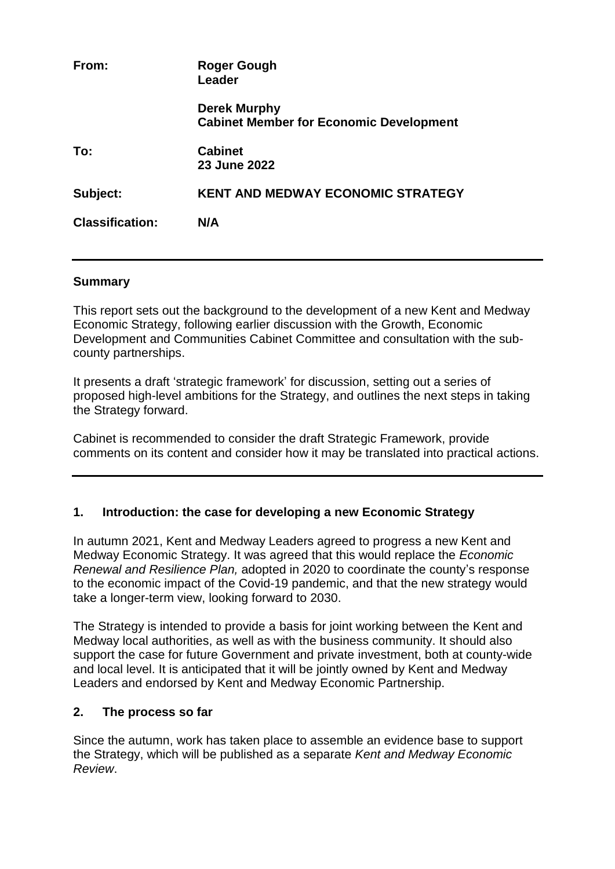| From:                  | Roger Gough<br>Leader                                          |
|------------------------|----------------------------------------------------------------|
|                        | Derek Murphy<br><b>Cabinet Member for Economic Development</b> |
| To:                    | <b>Cabinet</b><br>23 June 2022                                 |
| Subject:               | <b>KENT AND MEDWAY ECONOMIC STRATEGY</b>                       |
| <b>Classification:</b> | N/A                                                            |
|                        |                                                                |

#### **Summary**

This report sets out the background to the development of a new Kent and Medway Economic Strategy, following earlier discussion with the Growth, Economic Development and Communities Cabinet Committee and consultation with the subcounty partnerships.

It presents a draft 'strategic framework' for discussion, setting out a series of proposed high-level ambitions for the Strategy, and outlines the next steps in taking the Strategy forward.

Cabinet is recommended to consider the draft Strategic Framework, provide comments on its content and consider how it may be translated into practical actions.

### **1. Introduction: the case for developing a new Economic Strategy**

In autumn 2021, Kent and Medway Leaders agreed to progress a new Kent and Medway Economic Strategy. It was agreed that this would replace the *Economic Renewal and Resilience Plan,* adopted in 2020 to coordinate the county's response to the economic impact of the Covid-19 pandemic, and that the new strategy would take a longer-term view, looking forward to 2030.

The Strategy is intended to provide a basis for joint working between the Kent and Medway local authorities, as well as with the business community. It should also support the case for future Government and private investment, both at county-wide and local level. It is anticipated that it will be jointly owned by Kent and Medway Leaders and endorsed by Kent and Medway Economic Partnership.

### **2. The process so far**

Since the autumn, work has taken place to assemble an evidence base to support the Strategy, which will be published as a separate *Kent and Medway Economic Review*.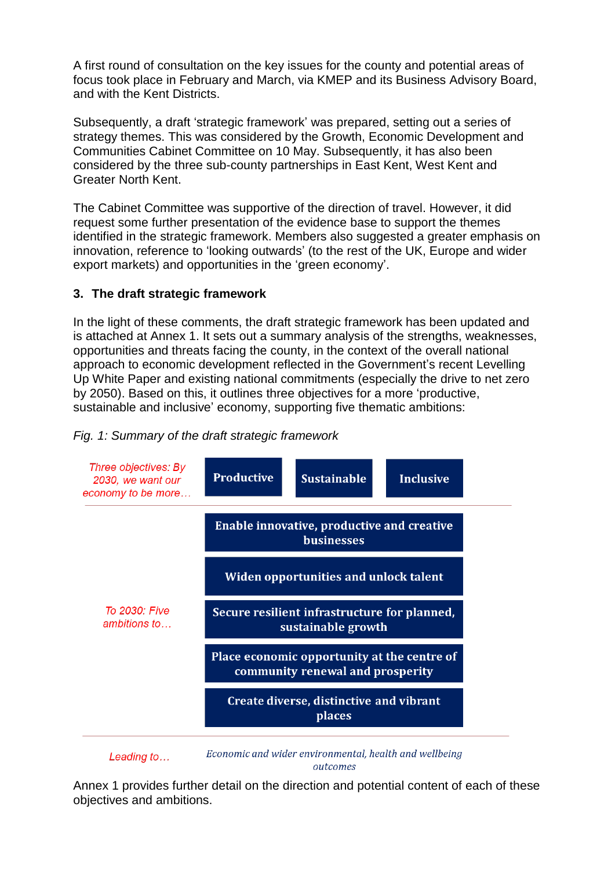A first round of consultation on the key issues for the county and potential areas of focus took place in February and March, via KMEP and its Business Advisory Board, and with the Kent Districts.

Subsequently, a draft 'strategic framework' was prepared, setting out a series of strategy themes. This was considered by the Growth, Economic Development and Communities Cabinet Committee on 10 May. Subsequently, it has also been considered by the three sub-county partnerships in East Kent, West Kent and Greater North Kent.

The Cabinet Committee was supportive of the direction of travel. However, it did request some further presentation of the evidence base to support the themes identified in the strategic framework. Members also suggested a greater emphasis on innovation, reference to 'looking outwards' (to the rest of the UK, Europe and wider export markets) and opportunities in the 'green economy'.

## **3. The draft strategic framework**

In the light of these comments, the draft strategic framework has been updated and is attached at Annex 1. It sets out a summary analysis of the strengths, weaknesses, opportunities and threats facing the county, in the context of the overall national approach to economic development reflected in the Government's recent Levelling Up White Paper and existing national commitments (especially the drive to net zero by 2050). Based on this, it outlines three objectives for a more 'productive, sustainable and inclusive' economy, supporting five thematic ambitions:

### *Fig. 1: Summary of the draft strategic framework*



Economic and wider environmental, health and wellbeing Leading to... outcomes

Annex 1 provides further detail on the direction and potential content of each of these objectives and ambitions.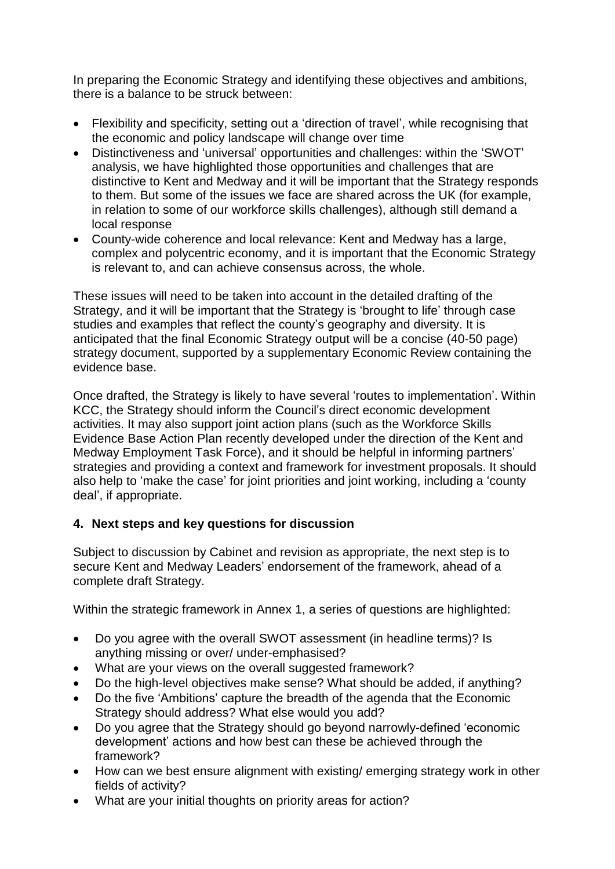In preparing the Economic Strategy and identifying these objectives and ambitions, there is a balance to be struck between:

- Flexibility and specificity, setting out a 'direction of travel', while recognising that the economic and policy landscape will change over time
- Distinctiveness and 'universal' opportunities and challenges: within the 'SWOT' analysis, we have highlighted those opportunities and challenges that are distinctive to Kent and Medway and it will be important that the Strategy responds to them. But some of the issues we face are shared across the UK (for example, in relation to some of our workforce skills challenges), although still demand a local response
- County-wide coherence and local relevance: Kent and Medway has a large, complex and polycentric economy, and it is important that the Economic Strategy is relevant to, and can achieve consensus across, the whole.

These issues will need to be taken into account in the detailed drafting of the Strategy, and it will be important that the Strategy is 'brought to life' through case studies and examples that reflect the county's geography and diversity. It is anticipated that the final Economic Strategy output will be a concise (40-50 page) strategy document, supported by a supplementary Economic Review containing the evidence base.

Once drafted, the Strategy is likely to have several 'routes to implementation'. Within KCC, the Strategy should inform the Council's direct economic development activities. It may also support joint action plans (such as the Workforce Skills Evidence Base Action Plan recently developed under the direction of the Kent and Medway Employment Task Force), and it should be helpful in informing partners' strategies and providing a context and framework for investment proposals. It should also help to 'make the case' for joint priorities and joint working, including a 'county deal', if appropriate.

# **4. Next steps and key questions for discussion**

Subject to discussion by Cabinet and revision as appropriate, the next step is to secure Kent and Medway Leaders' endorsement of the framework, ahead of a complete draft Strategy.

Within the strategic framework in Annex 1, a series of questions are highlighted:

- Do you agree with the overall SWOT assessment (in headline terms)? Is anything missing or over/ under-emphasised?
- What are your views on the overall suggested framework?
- Do the high-level objectives make sense? What should be added, if anything?
- Do the five 'Ambitions' capture the breadth of the agenda that the Economic Strategy should address? What else would you add?
- Do you agree that the Strategy should go beyond narrowly-defined 'economic development' actions and how best can these be achieved through the framework?
- How can we best ensure alignment with existing/ emerging strategy work in other fields of activity?
- What are your initial thoughts on priority areas for action?